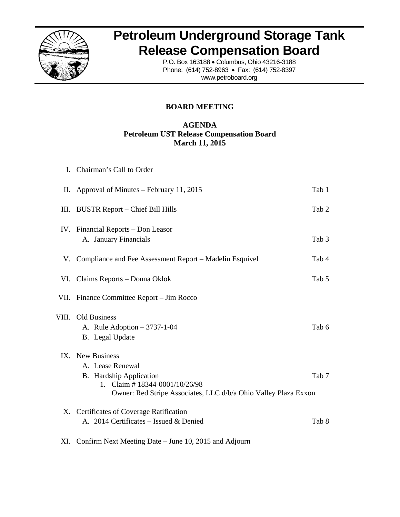

## **Petroleum Underground Storage Tank Release Compensation Board**

P.O. Box 163188 • Columbus, Ohio 43216-3188 Phone: (614) 752-8963 • Fax: (614) 752-8397 www.petroboard.org

## **BOARD MEETING**

## **AGENDA Petroleum UST Release Compensation Board March 11, 2015**

|    | I. Chairman's Call to Order                                                                                                                                         |       |
|----|---------------------------------------------------------------------------------------------------------------------------------------------------------------------|-------|
|    | II. Approval of Minutes – February 11, 2015                                                                                                                         | Tab 1 |
| Ш. | <b>BUSTR Report – Chief Bill Hills</b>                                                                                                                              | Tab 2 |
|    | IV. Financial Reports - Don Leasor<br>A. January Financials                                                                                                         | Tab 3 |
|    | V. Compliance and Fee Assessment Report – Madelin Esquivel                                                                                                          | Tab 4 |
|    | VI. Claims Reports - Donna Oklok                                                                                                                                    | Tab 5 |
|    | VII. Finance Committee Report – Jim Rocco                                                                                                                           |       |
|    | VIII. Old Business<br>A. Rule Adoption $-3737-1-04$<br>B. Legal Update                                                                                              | Tab 6 |
|    | IX. New Business<br>A. Lease Renewal<br>B. Hardship Application<br>1. Claim #18344-0001/10/26/98<br>Owner: Red Stripe Associates, LLC d/b/a Ohio Valley Plaza Exxon | Tab 7 |
|    | X. Certificates of Coverage Ratification<br>A. 2014 Certificates - Issued & Denied                                                                                  | Tab 8 |

XI. Confirm Next Meeting Date – June 10, 2015 and Adjourn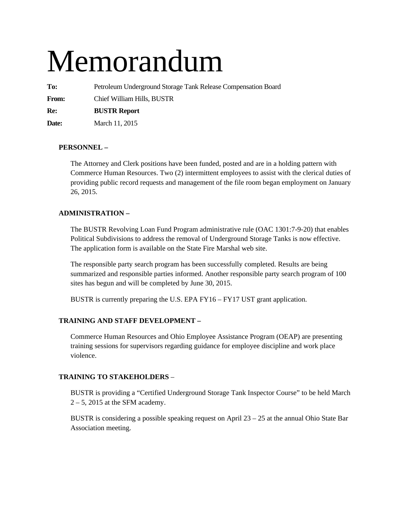# Memorandum

**To:** Petroleum Underground Storage Tank Release Compensation Board

**From:** Chief William Hills, BUSTR

**Re: BUSTR Report** 

**Date:** March 11, 2015

## **PERSONNEL –**

The Attorney and Clerk positions have been funded, posted and are in a holding pattern with Commerce Human Resources. Two (2) intermittent employees to assist with the clerical duties of providing public record requests and management of the file room began employment on January 26, 2015.

## **ADMINISTRATION –**

The BUSTR Revolving Loan Fund Program administrative rule (OAC 1301:7-9-20) that enables Political Subdivisions to address the removal of Underground Storage Tanks is now effective. The application form is available on the State Fire Marshal web site.

The responsible party search program has been successfully completed. Results are being summarized and responsible parties informed. Another responsible party search program of 100 sites has begun and will be completed by June 30, 2015.

BUSTR is currently preparing the U.S. EPA FY16 – FY17 UST grant application.

## **TRAINING AND STAFF DEVELOPMENT –**

Commerce Human Resources and Ohio Employee Assistance Program (OEAP) are presenting training sessions for supervisors regarding guidance for employee discipline and work place violence.

## **TRAINING TO STAKEHOLDERS** –

BUSTR is providing a "Certified Underground Storage Tank Inspector Course" to be held March  $2 - 5$ , 2015 at the SFM academy.

BUSTR is considering a possible speaking request on April  $23 - 25$  at the annual Ohio State Bar Association meeting.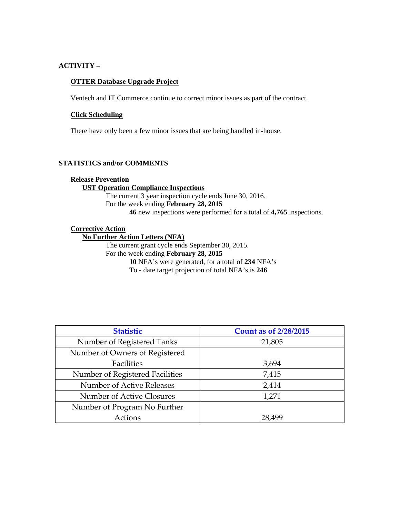## **ACTIVITY –**

#### **OTTER Database Upgrade Project**

Ventech and IT Commerce continue to correct minor issues as part of the contract.

#### **Click Scheduling**

There have only been a few minor issues that are being handled in-house.

## **STATISTICS and/or COMMENTS**

#### **Release Prevention**

## **UST Operation Compliance Inspections**

The current 3 year inspection cycle ends June 30, 2016. For the week ending **February 28, 2015 46** new inspections were performed for a total of **4,765** inspections.

## **Corrective Action**

**No Further Action Letters (NFA)** 

The current grant cycle ends September 30, 2015. For the week ending **February 28, 2015 10** NFA's were generated, for a total of **234** NFA's

To - date target projection of total NFA's is **246** 

| <b>Statistic</b>                | <b>Count as of 2/28/2015</b> |
|---------------------------------|------------------------------|
| Number of Registered Tanks      | 21,805                       |
| Number of Owners of Registered  |                              |
| Facilities                      | 3,694                        |
| Number of Registered Facilities | 7,415                        |
| Number of Active Releases       | 2,414                        |
| Number of Active Closures       | 1,271                        |
| Number of Program No Further    |                              |
| Actions                         | 28,499                       |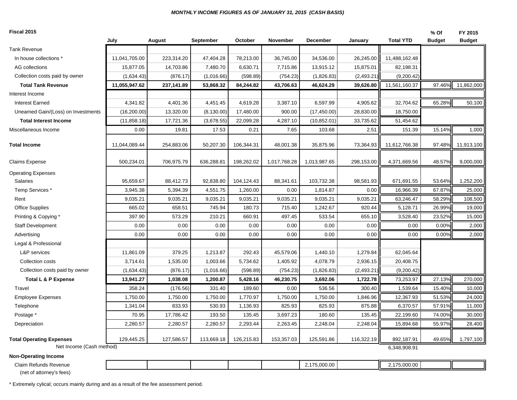#### *MONTHLY INCOME FIGURES AS OF JANUARY 31, 2015 (CASH BASIS)*

| Fiscal 2015 |  |  |
|-------------|--|--|
|-------------|--|--|

| Fiscal 2015                         |               |            |             |            |              |                 |            |                  | % Of          | FY 2015       |
|-------------------------------------|---------------|------------|-------------|------------|--------------|-----------------|------------|------------------|---------------|---------------|
|                                     | July          | August     | September   | October    | November     | <b>December</b> | January    | <b>Total YTD</b> | <b>Budget</b> | <b>Budget</b> |
| <b>Tank Revenue</b>                 |               |            |             |            |              |                 |            |                  |               |               |
| In house collections *              | 11,041,705.00 | 223,314.20 | 47,404.28   | 78,213.00  | 36,745.00    | 34,536.00       | 26,245.00  | 11,488,162.48    |               |               |
| AG collections                      | 15,877.05     | 14,703.86  | 7,480.70    | 6,630.71   | 7,715.86     | 13,915.12       | 15,875.01  | 82,198.31        |               |               |
| Collection costs paid by owner      | (1,634.43)    | (876.17)   | (1,016.66)  | (598.89)   | (754.23)     | (1,826.83)      | (2,493.21) | (9,200.42)       |               |               |
| <b>Total Tank Revenue</b>           | 11,055,947.62 | 237,141.89 | 53,868.32   | 84,244.82  | 43,706.63    | 46,624.29       | 39,626.80  | 11,561,160.37    | 97.46%        | 11,862,000    |
| Interest Income                     |               |            |             |            |              |                 |            |                  |               |               |
| <b>Interest Earned</b>              | 4,341.82      | 4,401.36   | 4,451.45    | 4,619.28   | 3,387.10     | 6,597.99        | 4,905.62   | 32,704.62        | 65.28%        | 50,100        |
| Unearned Gain/(Loss) on Investments | (16, 200.00)  | 13,320.00  | (8, 130.00) | 17,480.00  | 900.00       | (17, 450.00)    | 28,830.00  | 18,750.00        |               |               |
| <b>Total Interest Income</b>        | (11, 858.18)  | 17,721.36  | (3,678.55)  | 22,099.28  | 4,287.10     | (10, 852.01)    | 33,735.62  | 51,454.62        |               |               |
| Miscellaneous Income                | 0.00          | 19.81      | 17.53       | 0.21       | 7.65         | 103.68          | 2.51       | 151.39           | 15.14%        | 1,000         |
| <b>Total Income</b>                 | 11,044,089.44 | 254,883.06 | 50,207.30   | 106,344.31 | 48,001.38    | 35,875.96       | 73,364.93  | 11,612,766.38    | 97.48%        | 11,913,100    |
| Claims Expense                      | 500,234.01    | 706,975.79 | 636,288.81  | 198,262.02 | 1,017,768.28 | 1,013,987.65    | 298,153.00 | 4,371,669.56     | 48.57%        | 9,000,000     |
| <b>Operating Expenses</b>           |               |            |             |            |              |                 |            |                  |               |               |
| <b>Salaries</b>                     | 95,659.67     | 88,412.73  | 92,838.80   | 104,124.43 | 88,341.61    | 103,732.38      | 98,581.93  | 671,691.55       | 53.64%        | 1,252,200     |
| Temp Services*                      | 3,945.38      | 5,394.39   | 4,551.75    | 1,260.00   | 0.00         | 1,814.87        | 0.00       | 16,966.39        | 67.87%        | 25,000        |
| Rent                                | 9,035.21      | 9,035.21   | 9,035.21    | 9,035.21   | 9,035.21     | 9,035.21        | 9,035.21   | 63,246.47        | 58.29%        | 108,500       |
| <b>Office Supplies</b>              | 665.02        | 658.51     | 745.94      | 180.73     | 715.40       | 1,242.67        | 920.44     | 5,128.71         | 26.99%        | 19,000        |
| Printing & Copying *                | 397.90        | 573.29     | 210.21      | 660.91     | 497.45       | 533.54          | 655.10     | 3,528.40         | 23.52%        | 15,000        |
| <b>Staff Development</b>            | 0.00          | 0.00       | 0.00        | 0.00       | 0.00         | 0.00            | 0.00       | 0.00             | 0.00%         | 2,000         |
| Advertising                         | 0.00          | 0.00       | 0.00        | 0.00       | 0.00         | 0.00            | 0.00       | 0.00             | 0.00%         | 2,000         |
| Legal & Professional                |               |            |             |            |              |                 |            |                  |               |               |
| <b>L&amp;P</b> services             | 11,861.09     | 379.25     | 1,213.87    | 292.43     | 45,579.06    | 1,440.10        | 1,279.84   | 62,045.64        |               |               |
| Collection costs                    | 3,714.61      | 1,535.00   | 1,003.66    | 5,734.62   | 1,405.92     | 4,078.79        | 2,936.15   | 20,408.75        |               |               |
| Collection costs paid by owner      | (1,634.43)    | (876.17)   | (1,016.66)  | (598.89)   | (754.23)     | (1,826.83)      | (2,493.21) | (9,200.42)       |               |               |
| <b>Total L &amp; P Expense</b>      | 13,941.27     | 1,038.08   | 1,200.87    | 5,428.16   | 46,230.75    | 3,692.06        | 1,722.78   | 73,253.97        | 27.13%        | 270,000       |
| Travel                              | 358.24        | (176.56)   | 331.40      | 189.60     | 0.00         | 536.56          | 300.40     | 1,539.64         | 15.40%        | 10,000        |
| <b>Employee Expenses</b>            | 1,750.00      | 1,750.00   | 1,750.00    | 1,770.97   | 1,750.00     | 1,750.00        | 1,846.96   | 12,367.93        | 51.53%        | 24,000        |
| Telephone                           | 1,341.04      | 833.93     | 530.93      | 1,136.93   | 825.93       | 825.93          | 875.88     | 6,370.57         | 57.91%        | 11,000        |
| Postage *                           | 70.95         | 17,786.42  | 193.50      | 135.45     | 3,697.23     | 180.60          | 135.45     | 22,199.60        | 74.00%        | 30,000        |
| Depreciation                        | 2,280.57      | 2,280.57   | 2,280.57    | 2,293.44   | 2,263.45     | 2,248.04        | 2,248.04   | 15,894.68        | 55.97%        | 28,400        |
| <b>Total Operating Expenses</b>     | 129,445.25    | 127,586.57 | 113,669.18  | 126,215.83 | 153,357.03   | 125,591.86      | 116,322.19 | 892,187.91       | 49.65%        | 1,797,100     |
| Net Income (Cash method)            |               |            |             |            |              |                 |            | 6,348,908.91     |               |               |
| <b>Non-Operating Income</b>         |               |            |             |            |              |                 |            |                  |               |               |
| Claim Refunds Revenue               |               |            |             |            |              | 2,175,000.00    |            | 2,175,000.00     |               |               |

(net of attorney's fees)

\* Extremely cylical; occurs mainly during and as a result of the fee assessment period.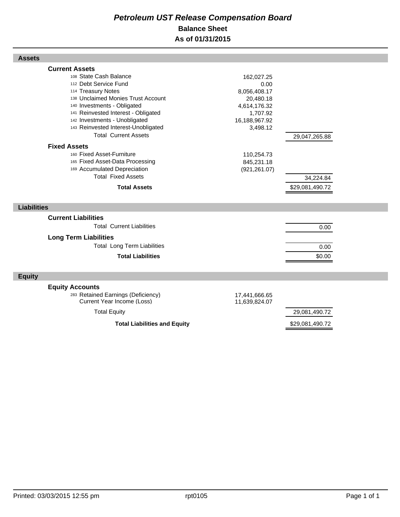## *Petroleum UST Release Compensation Board*  **Balance Sheet As of 01/31/2015**

| <b>Assets</b>                                                                                                                                                                                                                                                                                                                                                                                                                                                                                |                                                                                                                                                       |                                               |  |
|----------------------------------------------------------------------------------------------------------------------------------------------------------------------------------------------------------------------------------------------------------------------------------------------------------------------------------------------------------------------------------------------------------------------------------------------------------------------------------------------|-------------------------------------------------------------------------------------------------------------------------------------------------------|-----------------------------------------------|--|
| <b>Current Assets</b><br>108 State Cash Balance<br>112 Debt Service Fund<br>114 Treasury Notes<br>138 Unclaimed Monies Trust Account<br>140 Investments - Obligated<br>141 Reinvested Interest - Obligated<br>142 Investments - Unobligated<br>143 Reinvested Interest-Unobligated<br><b>Total Current Assets</b><br><b>Fixed Assets</b><br>160 Fixed Asset-Furniture<br>165 Fixed Asset-Data Processing<br>169 Accumulated Depreciation<br><b>Total Fixed Assets</b><br><b>Total Assets</b> | 162,027.25<br>0.00<br>8,056,408.17<br>20,480.18<br>4,614,176.32<br>1,707.92<br>16,188,967.92<br>3,498.12<br>110,254.73<br>845,231.18<br>(921, 261.07) | 29,047,265.88<br>34,224.84<br>\$29,081,490.72 |  |
| <b>Liabilities</b>                                                                                                                                                                                                                                                                                                                                                                                                                                                                           |                                                                                                                                                       |                                               |  |
| <b>Current Liabilities</b>                                                                                                                                                                                                                                                                                                                                                                                                                                                                   |                                                                                                                                                       |                                               |  |
| <b>Total Current Liabilities</b>                                                                                                                                                                                                                                                                                                                                                                                                                                                             |                                                                                                                                                       | 0.00                                          |  |
| <b>Long Term Liabilities</b><br><b>Total Long Term Liabilities</b><br><b>Total Liabilities</b>                                                                                                                                                                                                                                                                                                                                                                                               |                                                                                                                                                       | 0.00<br>\$0.00                                |  |
| <b>Equity</b>                                                                                                                                                                                                                                                                                                                                                                                                                                                                                |                                                                                                                                                       |                                               |  |
| <b>Equity Accounts</b><br>283 Retained Earnings (Deficiency)<br>Current Year Income (Loss)                                                                                                                                                                                                                                                                                                                                                                                                   | 17,441,666.65<br>11,639,824.07                                                                                                                        |                                               |  |
| <b>Total Equity</b>                                                                                                                                                                                                                                                                                                                                                                                                                                                                          |                                                                                                                                                       | 29,081,490.72                                 |  |
| <b>Total Liabilities and Equity</b>                                                                                                                                                                                                                                                                                                                                                                                                                                                          |                                                                                                                                                       | \$29,081,490.72                               |  |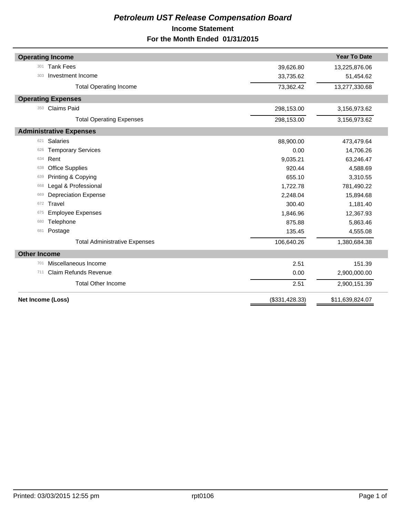## *Petroleum UST Release Compensation Board*  **Income Statement For the Month Ended 01/31/2015**

|                                      |                | <b>Year To Date</b> |
|--------------------------------------|----------------|---------------------|
| <b>Operating Income</b>              |                |                     |
| <b>Tank Fees</b><br>301              | 39,626.80      | 13,225,876.06       |
| Investment Income<br>303             | 33,735.62      | 51,454.62           |
| <b>Total Operating Income</b>        | 73,362.42      | 13,277,330.68       |
| <b>Operating Expenses</b>            |                |                     |
| <b>Claims Paid</b><br>350            | 298,153.00     | 3,156,973.62        |
| <b>Total Operating Expenses</b>      | 298,153.00     | 3,156,973.62        |
| <b>Administrative Expenses</b>       |                |                     |
| Salaries<br>621                      | 88,900.00      | 473,479.64          |
| <b>Temporary Services</b><br>626     | 0.00           | 14,706.26           |
| Rent<br>634                          | 9,035.21       | 63,246.47           |
| <b>Office Supplies</b><br>638        | 920.44         | 4,588.69            |
| Printing & Copying<br>639            | 655.10         | 3,310.55            |
| Legal & Professional<br>668          | 1,722.78       | 781,490.22          |
| <b>Depreciation Expense</b><br>669   | 2,248.04       | 15,894.68           |
| Travel<br>672                        | 300.40         | 1,181.40            |
| <b>Employee Expenses</b><br>675      | 1,846.96       | 12,367.93           |
| Telephone<br>680                     | 875.88         | 5,863.46            |
| Postage<br>681                       | 135.45         | 4,555.08            |
| <b>Total Administrative Expenses</b> | 106,640.26     | 1,380,684.38        |
| <b>Other Income</b>                  |                |                     |
| Miscellaneous Income<br>701          | 2.51           | 151.39              |
| <b>Claim Refunds Revenue</b><br>711  | 0.00           | 2,900,000.00        |
| <b>Total Other Income</b>            | 2.51           | 2,900,151.39        |
| Net Income (Loss)                    | (\$331,428.33) | \$11,639,824.07     |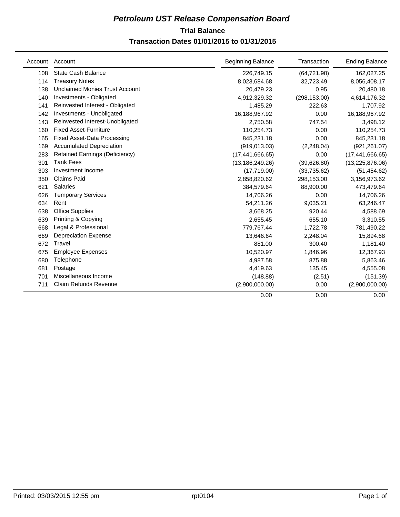## **Trial Balance** *Petroleum UST Release Compensation Board*

## **Transaction Dates 01/01/2015 to 01/31/2015**

|     | Account Account                       | <b>Beginning Balance</b> | Transaction   | <b>Ending Balance</b> |
|-----|---------------------------------------|--------------------------|---------------|-----------------------|
| 108 | State Cash Balance                    | 226,749.15               | (64, 721.90)  | 162,027.25            |
| 114 | <b>Treasury Notes</b>                 | 8,023,684.68             | 32,723.49     | 8,056,408.17          |
| 138 | <b>Unclaimed Monies Trust Account</b> | 20,479.23                | 0.95          | 20,480.18             |
| 140 | Investments - Obligated               | 4,912,329.32             | (298, 153.00) | 4,614,176.32          |
| 141 | Reinvested Interest - Obligated       | 1,485.29                 | 222.63        | 1,707.92              |
| 142 | Investments - Unobligated             | 16,188,967.92            | 0.00          | 16,188,967.92         |
| 143 | Reinvested Interest-Unobligated       | 2,750.58                 | 747.54        | 3,498.12              |
| 160 | <b>Fixed Asset-Furniture</b>          | 110,254.73               | 0.00          | 110,254.73            |
| 165 | <b>Fixed Asset-Data Processing</b>    | 845,231.18               | 0.00          | 845,231.18            |
| 169 | <b>Accumulated Depreciation</b>       | (919, 013.03)            | (2, 248.04)   | (921, 261.07)         |
| 283 | Retained Earnings (Deficiency)        | (17, 441, 666.65)        | 0.00          | (17, 441, 666.65)     |
| 301 | <b>Tank Fees</b>                      | (13, 186, 249.26)        | (39,626.80)   | (13, 225, 876.06)     |
| 303 | Investment Income                     | (17,719.00)              | (33,735.62)   | (51, 454.62)          |
| 350 | <b>Claims Paid</b>                    | 2,858,820.62             | 298,153.00    | 3,156,973.62          |
| 621 | Salaries                              | 384,579.64               | 88,900.00     | 473,479.64            |
| 626 | <b>Temporary Services</b>             | 14,706.26                | 0.00          | 14,706.26             |
| 634 | Rent                                  | 54,211.26                | 9,035.21      | 63,246.47             |
| 638 | <b>Office Supplies</b>                | 3,668.25                 | 920.44        | 4,588.69              |
| 639 | Printing & Copying                    | 2,655.45                 | 655.10        | 3,310.55              |
| 668 | Legal & Professional                  | 779,767.44               | 1,722.78      | 781,490.22            |
| 669 | <b>Depreciation Expense</b>           | 13,646.64                | 2,248.04      | 15,894.68             |
| 672 | Travel                                | 881.00                   | 300.40        | 1,181.40              |
| 675 | <b>Employee Expenses</b>              | 10,520.97                | 1,846.96      | 12,367.93             |
| 680 | Telephone                             | 4,987.58                 | 875.88        | 5,863.46              |
| 681 | Postage                               | 4,419.63                 | 135.45        | 4,555.08              |
| 701 | Miscellaneous Income                  | (148.88)                 | (2.51)        | (151.39)              |
| 711 | <b>Claim Refunds Revenue</b>          | (2,900,000.00)           | 0.00          | (2,900,000.00)        |
|     |                                       | 0.00                     | 0.00          | 0.00                  |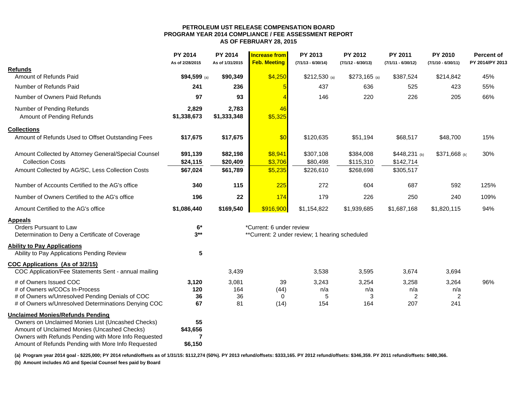#### **PETROLEUM UST RELEASE COMPENSATION BOARD PROGRAM YEAR 2014 COMPLIANCE / FEE ASSESSMENT REPORT AS OF FEBRUARY 28, 2015**

|                                                      | <b>PY 2014</b><br>As of 2/28/2015 | PY 2014<br>As of 1/31/2015 | <b>Increase from</b><br><b>Feb. Meeting</b> | PY 2013<br>$(7/1/13 - 6/30/14)$                | <b>PY 2012</b><br>$(7/1/12 - 6/30/13)$ | <b>PY 2011</b><br>$(7/1/11 - 6/30/12)$ | <b>PY 2010</b><br>$(7/1/10 - 6/30/11)$ | <b>Percent of</b><br>PY 2014/PY 2013 |
|------------------------------------------------------|-----------------------------------|----------------------------|---------------------------------------------|------------------------------------------------|----------------------------------------|----------------------------------------|----------------------------------------|--------------------------------------|
| <b>Refunds</b>                                       |                                   |                            |                                             |                                                |                                        |                                        |                                        |                                      |
| Amount of Refunds Paid                               | $$94,599$ (a)                     | \$90,349                   | \$4,250                                     | $$212,530$ (a)                                 | $$273,165$ (a)                         | \$387,524                              | \$214,842                              | 45%                                  |
| Number of Refunds Paid                               | 241                               | 236                        |                                             | 437                                            | 636                                    | 525                                    | 423                                    | 55%                                  |
| Number of Owners Paid Refunds                        | 97                                | 93                         |                                             | 146                                            | 220                                    | 226                                    | 205                                    | 66%                                  |
| Number of Pending Refunds                            | 2,829                             | 2,783                      | 46                                          |                                                |                                        |                                        |                                        |                                      |
| Amount of Pending Refunds                            | \$1,338,673                       | \$1,333,348                | \$5,325                                     |                                                |                                        |                                        |                                        |                                      |
| <b>Collections</b>                                   |                                   |                            |                                             |                                                |                                        |                                        |                                        |                                      |
| Amount of Refunds Used to Offset Outstanding Fees    | \$17,675                          | \$17,675                   | \$0                                         | \$120,635                                      | \$51,194                               | \$68,517                               | \$48,700                               | 15%                                  |
| Amount Collected by Attorney General/Special Counsel | \$91,139                          | \$82,198                   | \$8,941                                     | \$307,108                                      | \$384,008                              | $$448,231$ (b)                         | \$371,668 (b)                          | 30%                                  |
| <b>Collection Costs</b>                              | \$24,115                          | \$20,409                   | \$3,706                                     | \$80,498                                       | \$115,310                              | \$142,714                              |                                        |                                      |
| Amount Collected by AG/SC, Less Collection Costs     | \$67,024                          | \$61,789                   | \$5,235                                     | \$226,610                                      | \$268,698                              | \$305,517                              |                                        |                                      |
| Number of Accounts Certified to the AG's office      | 340                               | 115                        | 225                                         | 272                                            | 604                                    | 687                                    | 592                                    | 125%                                 |
| Number of Owners Certified to the AG's office        | 196                               | 22                         | 174                                         | 179                                            | 226                                    | 250                                    | 240                                    | 109%                                 |
| Amount Certified to the AG's office                  | \$1,086,440                       | \$169,540                  | \$916,900                                   | \$1,154,822                                    | \$1,939,685                            | \$1,687,168                            | \$1,820,115                            | 94%                                  |
| <b>Appeals</b>                                       |                                   |                            |                                             |                                                |                                        |                                        |                                        |                                      |
| Orders Pursuant to Law                               | $6*$                              |                            | *Current: 6 under review                    |                                                |                                        |                                        |                                        |                                      |
| Determination to Deny a Certificate of Coverage      | $3***$                            |                            |                                             | **Current: 2 under review; 1 hearing scheduled |                                        |                                        |                                        |                                      |
| <b>Ability to Pay Applications</b>                   |                                   |                            |                                             |                                                |                                        |                                        |                                        |                                      |
| Ability to Pay Applications Pending Review           | $5\phantom{.0}$                   |                            |                                             |                                                |                                        |                                        |                                        |                                      |
| COC Applications (As of 3/2/15)                      |                                   |                            |                                             |                                                |                                        |                                        |                                        |                                      |
| COC Application/Fee Statements Sent - annual mailing |                                   | 3,439                      |                                             | 3,538                                          | 3,595                                  | 3,674                                  | 3,694                                  |                                      |
| # of Owners Issued COC                               | 3,120                             | 3,081                      | 39                                          | 3,243                                          | 3,254                                  | 3,258                                  | 3,264                                  | 96%                                  |
| # of Owners w/COCs In-Process                        | 120                               | 164                        | (44)                                        | n/a                                            | n/a                                    | n/a                                    | n/a                                    |                                      |
| # of Owners w/Unresolved Pending Denials of COC      | 36                                | 36                         | 0                                           | 5                                              | 3                                      | 2                                      | $\overline{2}$                         |                                      |
| # of Owners w/Unresolved Determinations Denying COC  | 67                                | 81                         | (14)                                        | 154                                            | 164                                    | 207                                    | 241                                    |                                      |
| <b>Unclaimed Monies/Refunds Pending</b>              |                                   |                            |                                             |                                                |                                        |                                        |                                        |                                      |
| Owners on Unclaimed Monies List (Uncashed Checks)    | 55                                |                            |                                             |                                                |                                        |                                        |                                        |                                      |
| Amount of Unclaimed Monies (Uncashed Checks)         | \$43,656                          |                            |                                             |                                                |                                        |                                        |                                        |                                      |
| Owners with Refunds Pending with More Info Requested | 7                                 |                            |                                             |                                                |                                        |                                        |                                        |                                      |
| Amount of Refunds Pending with More Info Requested   | \$6,150                           |                            |                                             |                                                |                                        |                                        |                                        |                                      |

**(a) Program year 2014 goal - \$225,000; PY 2014 refund/offsets as of 1/31/15: \$112,274 (50%). PY 2013 refund/offsets: \$333,165. PY 2012 refund/offsets: \$346,359. PY 2011 refund/offsets: \$480,366.** 

**(b) Amount includes AG and Special Counsel fees paid by Board**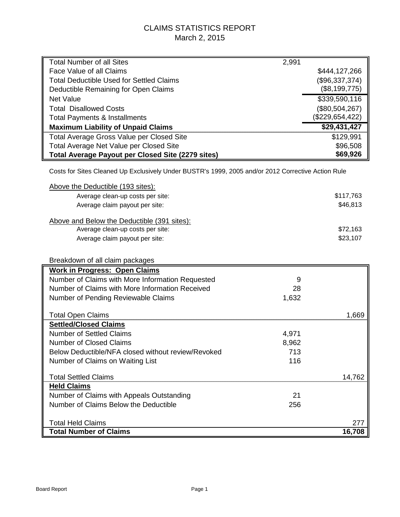## CLAIMS STATISTICS REPORT March 2, 2015

| <b>Total Number of all Sites</b>                                                                   | 2,991 |                 |
|----------------------------------------------------------------------------------------------------|-------|-----------------|
| Face Value of all Claims                                                                           |       | \$444,127,266   |
| <b>Total Deductible Used for Settled Claims</b>                                                    |       | (\$96,337,374)  |
| Deductible Remaining for Open Claims                                                               |       | (\$8,199,775)   |
| <b>Net Value</b>                                                                                   |       | \$339,590,116   |
| <b>Total Disallowed Costs</b>                                                                      |       | (\$80,504,267)  |
| <b>Total Payments &amp; Installments</b>                                                           |       | (\$229,654,422) |
| <b>Maximum Liability of Unpaid Claims</b>                                                          |       | \$29,431,427    |
| Total Average Gross Value per Closed Site                                                          |       | \$129,991       |
| Total Average Net Value per Closed Site                                                            |       | \$96,508        |
| <b>Total Average Payout per Closed Site (2279 sites)</b>                                           |       | \$69,926        |
| Costs for Sites Cleaned Up Exclusively Under BUSTR's 1999, 2005 and/or 2012 Corrective Action Rule |       |                 |
| Above the Deductible (193 sites):                                                                  |       |                 |
| Average clean-up costs per site:                                                                   |       | \$117,763       |
| Average claim payout per site:                                                                     |       | \$46,813        |
|                                                                                                    |       |                 |
| Above and Below the Deductible (391 sites):<br>Average clean-up costs per site:                    |       | \$72,163        |
| Average claim payout per site:                                                                     |       | \$23,107        |
|                                                                                                    |       |                 |
|                                                                                                    |       |                 |
| Breakdown of all claim packages                                                                    |       |                 |
| <b>Work in Progress: Open Claims</b>                                                               |       |                 |
| Number of Claims with More Information Requested                                                   | 9     |                 |
| Number of Claims with More Information Received                                                    | 28    |                 |
| Number of Pending Reviewable Claims                                                                | 1,632 |                 |
| <b>Total Open Claims</b>                                                                           |       | 1,669           |
| <b>Settled/Closed Claims</b>                                                                       |       |                 |
| <b>Number of Settled Claims</b>                                                                    | 4,971 |                 |
| <b>Number of Closed Claims</b>                                                                     | 8,962 |                 |
| Below Deductible/NFA closed without review/Revoked                                                 | 713   |                 |
| Number of Claims on Waiting List                                                                   | 116   |                 |
|                                                                                                    |       |                 |
| <b>Total Settled Claims</b>                                                                        |       | 14,762          |
| <b>Held Claims</b>                                                                                 |       |                 |
| Number of Claims with Appeals Outstanding                                                          | 21    |                 |
| Number of Claims Below the Deductible                                                              | 256   |                 |
|                                                                                                    |       |                 |
| <b>Total Held Claims</b><br><b>Total Number of Claims</b>                                          |       | 277<br>16,708   |
|                                                                                                    |       |                 |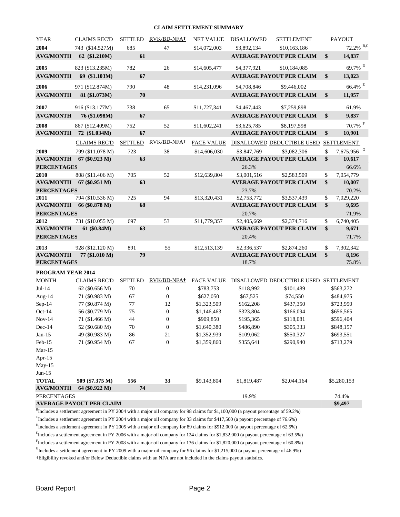#### **CLAIM SETTLEMENT SUMMARY**

| YEAR               | <b>CLAIMS REC'D</b>             | <b>SETTLED</b> | RVK/BD-NFA+      | <b>NET VALUE</b>  | DISALLOWED  | <b>SETTLEMENT</b>                     |                   | <b>PAYOUT</b>          |
|--------------------|---------------------------------|----------------|------------------|-------------------|-------------|---------------------------------------|-------------------|------------------------|
| 2004               | 743 (\$14.527M)                 | 685            | 47               | \$14,072,003      | \$3,892,134 | \$10,163,186                          |                   | 72.2% B,C              |
|                    | AVG/MONTH 62 (\$1.210M)         | 61             |                  |                   |             | <b>AVERAGE PAYOUT PER CLAIM</b>       | \$                | 14,837                 |
| 2005               | 823 (\$13.235M)                 | 782            | 26               | \$14,605,477      | \$4,377,921 | \$10,184,085                          |                   | 69.7% <sup>D</sup>     |
| <b>AVG/MONTH</b>   | 69 (\$1.103M)                   | 67             |                  |                   |             | <b>AVERAGE PAYOUT PER CLAIM</b>       | $\mathbf{s}$      | 13,023                 |
| 2006               | 971 (\$12.874M)                 | 790            | 48               | \$14,231,096      | \$4,708,846 | \$9,446,002                           |                   | 66.4% E                |
| <b>AVG/MONTH</b>   | 81 (\$1.073M)                   | 70             |                  |                   |             | <b>AVERAGE PAYOUT PER CLAIM</b>       | $\mathbf{s}$      | 11,957                 |
| 2007               | 916 (\$13.177M)                 | 738            | 65               | \$11,727,341      | \$4,467,443 | \$7,259,898                           |                   | 61.9%                  |
| <b>AVG/MONTH</b>   | 76 (\$1.098M)                   | 67             |                  |                   |             | <b>AVERAGE PAYOUT PER CLAIM</b>       | $\boldsymbol{\$}$ | 9,837                  |
| 2008               | 867 (\$12.409M)                 | 752            | 52               | \$11,602,241      | \$3,625,785 | \$8,197,598                           |                   | 70.7% F                |
| <b>AVG/MONTH</b>   | 72 (\$1.034M)                   | 67             |                  |                   |             | <b>AVERAGE PAYOUT PER CLAIM</b>       | \$                | 10,901                 |
|                    | <b>CLAIMS REC'D</b>             | <b>SETTLED</b> | RVK/BD-NFA+      | <b>FACE VALUE</b> |             | DISALLOWED DEDUCTIBLE USED SETTLEMENT |                   |                        |
| 2009               | 799 (\$11.078 M)                | 723            | 38               | \$14,606,030      | \$3,847,769 | \$3,082,306                           | \$                | 7,675,956 <sup>G</sup> |
|                    | AVG/MONTH 67 (\$0.923 M)        | 63             |                  |                   |             | <b>AVERAGE PAYOUT PER CLAIM</b>       | \$                | 10,617                 |
| <b>PERCENTAGES</b> |                                 |                |                  |                   | 26.3%       |                                       |                   | 66.6%                  |
| 2010               | 808 (\$11.406 M)                | 705            | 52               | \$12,639,804      | \$3,001,516 | \$2,583,509                           | \$                | 7,054,779              |
| <b>AVG/MONTH</b>   | $67 (\$0.951 M)$                | 63             |                  |                   |             | <b>AVERAGE PAYOUT PER CLAIM</b>       | \$                | 10,007                 |
| <b>PERCENTAGES</b> |                                 |                |                  |                   | 23.7%       |                                       |                   | 70.2%                  |
| 2011               | 794 (\$10.536 M)                | 725            | 94               | \$13,320,431      | \$2,753,772 | \$3,537,439                           | \$                | 7,029,220              |
| <b>AVG/MONTH</b>   | 66 (\$0.878 M)                  | 68             |                  |                   |             | <b>AVERAGE PAYOUT PER CLAIM</b>       | \$                | 9,695                  |
| <b>PERCENTAGES</b> |                                 |                |                  |                   | 20.7%       |                                       |                   | 71.9%                  |
| 2012               | 731 (\$10.055 M)                | 697            | 53               | \$11,779,357      | \$2,405,669 | \$2,374,716                           | \$                | 6,740,405              |
| <b>AVG/MONTH</b>   | 61 (\$0.84M)                    | 63             |                  |                   |             | <b>AVERAGE PAYOUT PER CLAIM</b>       | \$                | 9,671                  |
| <b>PERCENTAGES</b> |                                 |                |                  |                   | 20.4%       |                                       |                   | 71.7%                  |
| 2013               | 928 (\$12.120 M)                | 891            | 55               | \$12,513,139      | \$2,336,537 | \$2,874,260                           | \$                | 7,302,342              |
| <b>AVG/MONTH</b>   | 77 (\$1.010 M)                  | 79             |                  |                   |             | <b>AVERAGE PAYOUT PER CLAIM</b>       | \$                | 8,196                  |
| <b>PERCENTAGES</b> |                                 |                |                  |                   | 18.7%       |                                       |                   | 75.8%                  |
| PROGRAM YEAR 2014  |                                 |                |                  |                   |             |                                       |                   |                        |
| <b>MONTH</b>       | <b>CLAIMS REC'D</b>             | <b>SETTLED</b> | RVK/BD-NFA+      | <b>FACE VALUE</b> |             | DISALLOWED DEDUCTIBLE USED SETTLEMENT |                   |                        |
| $Jul-14$           | 62 (\$0.656 M)                  | 70             | $\boldsymbol{0}$ | \$783,753         | \$118,992   | \$101,489                             |                   | \$563,272              |
| Aug-14             | 71 (\$0.983 M)                  | 67             | $\boldsymbol{0}$ | \$627,050         | \$67,525    | \$74,550                              |                   | \$484,975              |
| $Sep-14$           | 77 (\$0.874 M)                  | 77             | 12               | \$1,323,509       | \$162,208   | \$437,350                             |                   | \$723,950              |
| $Oct-14$           | 56 (\$0.779 M)                  | 75             | $\mathbf{0}$     | \$1,146,463       | \$323,804   | \$166,094                             |                   | \$656,565              |
| $Nov-14$           | 71 (\$1.466 M)                  | 44             | $\mathbf{0}$     | \$909,850         | \$195,365   | \$118,081                             |                   | \$596.404              |
| Dec-14             | 52 (\$0.680 M)                  | $70\,$         | $\boldsymbol{0}$ | \$1,640,380       | \$486,890   | \$305,333                             |                   | \$848,157              |
| $Jan-15$           | 49 (\$0.983 M)                  | 86             | 21               | \$1,352,939       | \$109,062   | \$550,327                             |                   | \$693,551              |
| Feb-15             | 71 (\$0.954 M)                  | 67             | $\boldsymbol{0}$ | \$1,359,860       | \$355,641   | \$290,940                             |                   | \$713,279              |
| $Mar-15$           |                                 |                |                  |                   |             |                                       |                   |                        |
| Apr-15             |                                 |                |                  |                   |             |                                       |                   |                        |
| $May-15$           |                                 |                |                  |                   |             |                                       |                   |                        |
| $Jun-15$           |                                 |                |                  |                   |             |                                       |                   |                        |
| <b>TOTAL</b>       | 509 (\$7.375 M)                 | 556            | 33               | \$9,143,804       | \$1,819,487 | \$2,044,164                           |                   | \$5,280,153            |
| <b>AVG/MONTH</b>   | 64 (\$0.922 M)                  | 74             |                  |                   |             |                                       |                   |                        |
| <b>PERCENTAGES</b> |                                 |                |                  |                   | 19.9%       |                                       |                   | 74.4%                  |
|                    | <b>AVERAGE PAYOUT PER CLAIM</b> |                |                  |                   |             |                                       |                   | \$9,497                |

BIncludes a settlement agreement in PY 2004 with a major oil company for 98 claims for \$1,100,000 (a payout percentage of 59.2%)

<sup>D</sup>Includes a settlement agreement in PY 2005 with a major oil company for 89 claims for \$912,000 (a payout percentage of 62.5%)

E Includes a settlement agreement in PY 2006 with a major oil company for 124 claims for \$1,832,000 (a payout percentage of 63.5%)

Fincludes a settlement agreement in PY 2008 with a major oil company for 136 claims for \$1,820,000 (a payout percentage of 60.8%)

GIncludes a settlement agreement in PY 2009 with a major oil company for 96 claims for \$1,215,000 (a payout percentage of 46.9%)

**†**Eligibility revoked and/or Below Deductible claims with an NFA are not included in the claims payout statistics.

CIncludes a settlement agreement in PY 2004 with a major oil company for 33 claims for \$417,500 (a payout percentage of 76.6%)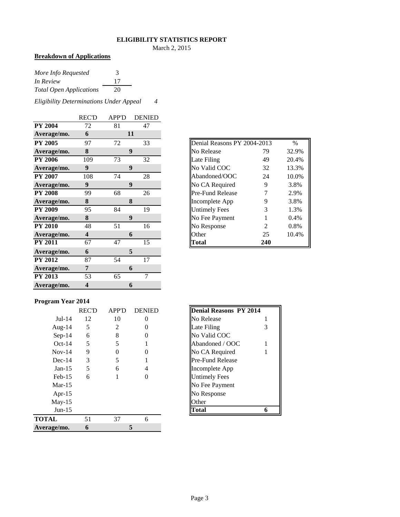#### **ELIGIBILITY STATISTICS REPORT**

March 2, 2015

#### **Breakdown of Applications**

| More Info Requested            | 3  |
|--------------------------------|----|
| In Review                      | 17 |
| <b>Total Open Applications</b> | 20 |

*Eligibility Determinations Under Appeal 4*

|                | <b>REC'D</b>            | <b>APP'D</b> | <b>DENIED</b>   |
|----------------|-------------------------|--------------|-----------------|
| <b>PY 2004</b> | 72                      | 81           | 47              |
| Average/mo.    | 6                       |              | 11              |
| <b>PY 2005</b> | 97                      | 72           | 33              |
| Average/mo.    | 8                       |              | 9               |
| <b>PY 2006</b> | 109                     | 73           | 32              |
| Average/mo.    | 9                       |              | 9               |
| <b>PY 2007</b> | 108                     | 74           | 28              |
| Average/mo.    | $\boldsymbol{9}$        |              | 9               |
| <b>PY 2008</b> | 99                      | 68           | 26              |
| Average/mo.    | 8                       |              | 8               |
| <b>PY 2009</b> | 95                      | 84           | 19              |
| Average/mo.    | 8                       |              | 9               |
| <b>PY 2010</b> | 48                      | 51           | 16              |
| Average/mo.    | $\overline{\mathbf{4}}$ |              | 6               |
| <b>PY 2011</b> | 67                      | 47           | $\overline{15}$ |
| Average/mo.    | 6                       |              | 5               |
| <b>PY 2012</b> | 87                      | 54           | 17              |
| Average/mo.    | 7                       |              | 6               |
| <b>PY 2013</b> | 53                      | 65           | 7               |
| Average/mo.    | 4                       |              | 6               |

## **Physical Reasons PY 2004-2013** % **Average/mo. 8** No Release 79 32.9% **Properties** 20.4% **Average 13.3%** No Valid COC 32 13.3% Abandoned/OOC 24 10.0% **Average Mo. CA Required 9 3.8%** Pre-Fund Release 7 2.9% **A** Incomplete App 5.8% **Physical Properties** 3 1.3% **Average Rayment** 1 0.4% **Propose** 2 6.8%

## **Program Year 2014**

|              | <b>REC'D</b> | <b>APP'D</b> | <b>DENIED</b> | Denial Reasons PY 2014  |
|--------------|--------------|--------------|---------------|-------------------------|
| $Jul-14$     | 12           | 10           | 0             | No Release              |
| Aug- $14$    | 5            | 2            |               | Late Filing<br>3        |
| $Sep-14$     | 6            | 8            |               | No Valid COC            |
| $Oct-14$     | 5            | 5            |               | Abandoned / OOC         |
| $Nov-14$     | 9            | $\Omega$     |               | No CA Required          |
| $Dec-14$     | 3            | 5            |               | <b>Pre-Fund Release</b> |
| $Jan-15$     | 5            | 6            |               | Incomplete App          |
| $Feb-15$     | 6            |              | 0             | <b>Untimely Fees</b>    |
| Mar-15       |              |              |               | No Fee Payment          |
| Apr- $15$    |              |              |               | No Response             |
| $May-15$     |              |              |               | Other                   |
| $Jun-15$     |              |              |               | <b>Total</b>            |
| <b>TOTAL</b> | 51           | 37           | 6             |                         |
| Average/mo.  | 6            |              |               |                         |
|              |              |              |               |                         |

| <b>Denial Reasons PY 2014</b> |   |
|-------------------------------|---|
| No Release                    |   |
| Late Filing                   | 3 |
| No Valid COC                  |   |
| Abandoned / OOC               |   |
| No CA Required                |   |
| Pre-Fund Release              |   |
| Incomplete App                |   |
| Untimely Fees                 |   |
| No Fee Payment                |   |
| No Response                   |   |
| <b>Other</b>                  |   |
| otal                          |   |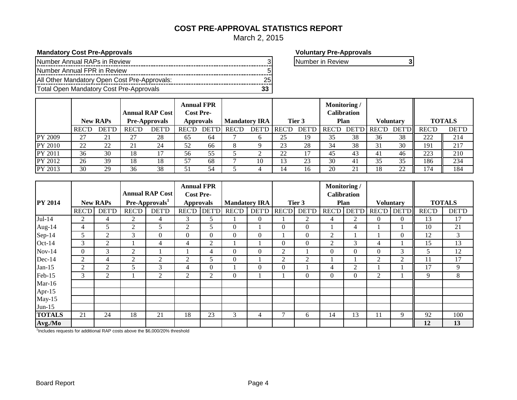## **COST PRE-APPROVAL STATISTICS REPORT**

March 2, 2015

**Mandatory Cost Pre-Approvals Voluntary Pre-Approvals** 

| Number Annual RAPs in Review                 |  |
|----------------------------------------------|--|
| Number Annual FPR in Review                  |  |
| All Other Mandatory Open Cost Pre-Approvals: |  |
| Total Open Mandatory Cost Pre-Approvals      |  |

**Number in Review 3** 

|                |              | <b>New RAPs</b> |              | <b>Annual RAP Cost</b><br><b>Pre-Approvals</b> | <b>Cost Pre-</b><br><b>Approvals</b> | <b>Annual FPR</b> |              | <b>Mandatory IRA</b> |              | Tier 3       | Monitoring/       | Calibration<br>Plan |    | <b>Voluntary</b> |              | <b>TOTALS</b> |
|----------------|--------------|-----------------|--------------|------------------------------------------------|--------------------------------------|-------------------|--------------|----------------------|--------------|--------------|-------------------|---------------------|----|------------------|--------------|---------------|
|                | <b>REC'D</b> | <b>DET'D</b>    | <b>REC'D</b> | <b>DET'D</b>                                   | <b>REC'D</b>                         | <b>DET'DI</b>     | <b>REC'D</b> | <b>DET'D</b>         | <b>REC'D</b> | <b>DET'D</b> | REC'D DET'D REC'D |                     |    | <b>DET'DI</b>    | <b>REC'D</b> | <b>DET'D</b>  |
| PY 2009        | 27           | 21              | 27           | 28                                             | 65                                   | 64                |              |                      | 25           | 19           | 35                | 38                  | 36 | 38               | 222          | 214           |
| PY 2010        | 22           | 22              | 21<br>∠ I    | 24                                             | 52                                   | 66                | 8            |                      | 23           | 28           | 34                | 38                  |    | 30               | 191          | 217           |
| <b>PY 2011</b> | 36           | 30              | 18           | 17                                             | 56                                   | 55                |              |                      | 22           |              | 45                | 43                  | 41 | 46               | 223          | 210           |
| PY 2012        | 26           | 39              | 18.          | 18                                             | 57                                   | 68                |              | 10                   |              | 23           | 30                | 41                  | 35 | 35               | 186          | 234           |
| PY 2013        | 30           | 29              | 36           | 38                                             | 51                                   | 54                |              |                      | 14           | 16           | 20                | $^{\circ}$ 1<br>∠⊥  | 18 | 22               | 174          | 184           |

|                |              |                 |              | <b>Annual RAP Cost</b>     | <b>Annual FPR</b><br><b>Cost Pre-</b> |                |                |                      |                |                  | Monitoring /   | <b>Calibration</b> |                |                  |              |               |
|----------------|--------------|-----------------|--------------|----------------------------|---------------------------------------|----------------|----------------|----------------------|----------------|------------------|----------------|--------------------|----------------|------------------|--------------|---------------|
| <b>PY 2014</b> |              | <b>New RAPs</b> |              | Pre-Approvals <sup>1</sup> | <b>Approvals</b>                      |                |                | <b>Mandatory IRA</b> |                | Tier 3           |                | Plan               |                | <b>Voluntary</b> |              | <b>TOTALS</b> |
|                | <b>REC'D</b> | <b>DET'D</b>    | <b>REC'D</b> | <b>DET'D</b>               | <b>REC'D</b>                          | <b>DET'D</b>   | <b>REC'D</b>   | <b>DET'D</b>         | <b>REC'D</b>   | <b>DET'D</b>     | <b>REC'D</b>   | <b>DET'D</b>       | <b>REC'D</b>   | <b>DET'D</b>     | <b>REC'D</b> | <b>DET'D</b>  |
| $Jul-14$       | 2            | 4               | 2            | 4                          | 3                                     | 5              |                | $\overline{0}$       |                | 2                | $\overline{4}$ | 2                  | $\overline{0}$ | $\overline{0}$   | 13           | 17            |
| Aug-14         | 4            | 5               | 2            | 5                          | 2                                     | 5              | $\mathbf{0}$   |                      | $\overline{0}$ | $\boldsymbol{0}$ |                | 4                  |                |                  | 10           | 21            |
| Sep-14         | 5            | 2               | 3            | $\theta$                   | $\Omega$                              | $\Omega$       | $\overline{0}$ | $\mathbf{0}$         |                | $\overline{0}$   | 2              |                    |                | $\theta$         | 12           | 3             |
| Oct-14         | 3            | 2               |              | 4                          | 4                                     | 2              |                |                      | $\mathbf{0}$   | $\Omega$         | $\overline{2}$ | 3                  | 4              |                  | 15           | 13            |
| $Nov-14$       | $\Omega$     | 3               | 2            |                            |                                       | 4              | $\Omega$       | $\overline{0}$       | $\overline{2}$ |                  | $\mathbf{0}$   | $\theta$           | $\Omega$       | 3                | 5            | 12            |
| Dec-14         | 2            | 4               | 2            | 2                          | 2                                     | 5              | $\mathbf{0}$   |                      | 2              | 2                |                |                    | $\overline{2}$ | $\overline{2}$   | 11           | 17            |
| $Jan-15$       | 2            | 2               | 5            | 3                          | 4                                     | $\Omega$       |                | $\overline{0}$       | $\mathbf{0}$   |                  | 4              | $\overline{2}$     |                |                  | 17           | 9             |
| Feb-15         | 3            | 2               |              | 2                          | 2                                     | $\overline{2}$ | $\theta$       |                      |                | $\Omega$         | $\theta$       | $\Omega$           | $\overline{2}$ |                  | 9            | 8             |
| $Mar-16$       |              |                 |              |                            |                                       |                |                |                      |                |                  |                |                    |                |                  |              |               |
| Apr-15         |              |                 |              |                            |                                       |                |                |                      |                |                  |                |                    |                |                  |              |               |
| $May-15$       |              |                 |              |                            |                                       |                |                |                      |                |                  |                |                    |                |                  |              |               |
| $Jun-15$       |              |                 |              |                            |                                       |                |                |                      |                |                  |                |                    |                |                  |              |               |
| <b>TOTALS</b>  | 21           | 24              | 18           | 21                         | 18                                    | 23             | 3              | 4                    | 7              | 6                | 14             | 13                 | 11             | 9                | 92           | 100           |
| Avg./Mo        |              |                 |              |                            |                                       |                |                |                      |                |                  |                |                    |                |                  | 12           | 13            |

<sup>1</sup>Includes requests for additional RAP costs above the \$6,000/20% threshold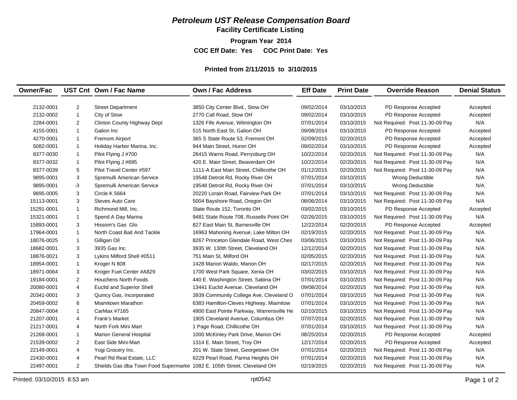## *Petroleum UST Release Compensation Board*

**Facility Certificate Listing**

**Program Year 2014 COC Eff Date: Yes COC Print Date: Yes** 

## **Printed from 2/11/2015 to 3/10/2015**

| <b>Owner/Fac</b> |                | UST Cnt Own / Fac Name                                                  | <b>Own / Fac Address</b>                  | <b>Eff Date</b> | <b>Print Date</b> | <b>Override Reason</b>          | <b>Denial Status</b> |
|------------------|----------------|-------------------------------------------------------------------------|-------------------------------------------|-----------------|-------------------|---------------------------------|----------------------|
|                  |                |                                                                         |                                           |                 |                   |                                 |                      |
| 2132-0001        | $\overline{2}$ | <b>Street Department</b>                                                | 3850 City Center Blvd., Stow OH           | 09/02/2014      | 03/10/2015        | PD Response Accepted            | Accepted             |
| 2132-0002        | $\mathbf{1}$   | City of Stow                                                            | 2770 Call Road, Stow OH                   | 09/02/2014      | 03/10/2015        | PD Response Accepted            | Accepted             |
| 2284-0001        | 2              | Clinton County Highway Dept                                             | 1326 Fife Avenue, Wilmington OH           | 07/01/2014      | 03/10/2015        | Not Required: Post 11-30-09 Pay | N/A                  |
| 4155-0001        | $\mathbf{1}$   | Galion Inc                                                              | 515 North East St, Galion OH              | 09/08/2014      | 03/10/2015        | PD Response Accepted            | Accepted             |
| 4270-0001        | $\mathbf{1}$   | <b>Fremont Airport</b>                                                  | 365 S State Route 53, Fremont OH          | 02/09/2015      | 02/20/2015        | PD Response Accepted            | Accepted             |
| 5082-0001        | $\mathbf{1}$   | Holiday Harbor Marina, Inc.                                             | 944 Main Street, Huron OH                 | 09/02/2014      | 03/10/2015        | PD Response Accepted            | Accepted             |
| 8377-0030        | $\mathbf{1}$   | Pilot Flying J #700                                                     | 26415 Warns Road, Perrysburg OH           | 10/22/2014      | 02/20/2015        | Not Required: Post 11-30-09 Pay | N/A                  |
| 8377-0032        | $\mathbf{1}$   | Pilot Flying J #695                                                     | 420 E. Main Street, Beaverdam OH          | 10/22/2014      | 02/20/2015        | Not Required: Post 11-30-09 Pay | N/A                  |
| 8377-0039        | 5              | Pilot Travel Center #597                                                | 1111-A East Main Street, Chillicothe OH   | 01/12/2015      | 02/20/2015        | Not Required: Post 11-30-09 Pay | N/A                  |
| 9895-0001        | 3              | Spremulli American Service                                              | 19548 Detroit Rd, Rocky River OH          | 07/01/2014      | 03/10/2015        | Wrong Deductible                | N/A                  |
| 9895-0001        | $-3$           | Spremulli American Service                                              | 19548 Detroit Rd, Rocky River OH          | 07/01/2014      | 03/10/2015        | Wrong Deductible                | N/A                  |
| 9895-0005        | 3              | Circle K 5664                                                           | 20220 Lorain Road, Fairview Park OH       | 07/01/2014      | 03/10/2015        | Not Required: Post 11-30-09 Pay | N/A                  |
| 15113-0001       | 3              | <b>Steves Auto Care</b>                                                 | 5004 Bayshore Road, Oregon OH             | 08/06/2014      | 03/10/2015        | Not Required: Post 11-30-09 Pay | N/A                  |
| 15291-0001       | $\mathbf{1}$   | Richmond Mill, Inc.                                                     | State Route 152, Toronto OH               | 03/02/2015      | 03/10/2015        | PD Response Accepted            | Accepted             |
| 15321-0001       | $\mathbf{1}$   | Spend A Day Marina                                                      | 9481 State Route 708, Russells Point OH   | 02/26/2015      | 03/10/2015        | Not Required: Post 11-30-09 Pay | N/A                  |
| 15893-0001       | 3              | Hissom's Gas Glo                                                        | 827 East Main St, Barnesville OH          | 12/22/2014      | 02/20/2015        | PD Response Accepted            | Accepted             |
| 17964-0001       | $\mathbf{1}$   | North Coast Bait And Tackle                                             | 16963 Mahoning Avenue, Lake Milton OH     | 02/19/2015      | 02/20/2015        | Not Required: Post 11-30-09 Pay | N/A                  |
| 18076-0025       | $\mathbf{1}$   | Gilligan Oil                                                            | 8267 Princeton Glendale Road, West Ches   | 03/06/2015      | 03/10/2015        | Not Required: Post 11-30-09 Pay | N/A                  |
| 18682-0001       | 3              | 3935 Gas Inc.                                                           | 3935 W. 130th Street, Cleveland OH        | 12/12/2014      | 02/20/2015        | Not Required: Post 11-30-09 Pay | N/A                  |
| 18876-0021       | 3              | Lykins Milford Shell #0511                                              | 751 Main St, Milford OH                   | 02/05/2015      | 02/20/2015        | Not Required: Post 11-30-09 Pay | N/A                  |
| 18954-0001       | $\mathbf{1}$   | Kroger N 808                                                            | 1428 Marion Waldo, Marion OH              | 02/17/2015      | 02/20/2015        | Not Required: Post 11-30-09 Pay | N/A                  |
| 18971-0064       | 3              | Kroger Fuel Center #A829                                                | 1700 West Park Square, Xenia OH           | 03/02/2015      | 03/10/2015        | Not Required: Post 11-30-09 Pay | N/A                  |
| 19184-0001       | $\overline{2}$ | <b>Houchens North Foods</b>                                             | 440 E. Washington Street, Sabina OH       | 07/01/2014      | 03/10/2015        | Not Required: Post 11-30-09 Pay | N/A                  |
| 20080-0001       | 4              | <b>Euclid and Superior Shell</b>                                        | 13441 Euclid Avenue, Cleveland OH         | 09/08/2014      | 02/20/2015        | Not Required: Post 11-30-09 Pay | N/A                  |
| 20341-0001       | 3              | Quincy Gas, Incorporated                                                | 3939 Community College Ave, Cleveland O   | 07/01/2014      | 03/10/2015        | Not Required: Post 11-30-09 Pay | N/A                  |
| 20459-0002       | 6              | Miamitown Marathon                                                      | 6383 Hamilton-Cleves Highway, Miamitow    | 07/01/2014      | 03/10/2015        | Not Required: Post 11-30-09 Pay | N/A                  |
| 20847-0004       | 1              | CarMax #7165                                                            | 4900 East Pointe Parkway, Warrensville He | 02/10/2015      | 03/10/2015        | Not Required: Post 11-30-09 Pay | N/A                  |
| 21207-0001       | 4              | <b>Frank's Market</b>                                                   | 1905 Cleveland Avenue, Columbus OH        | 07/07/2014      | 02/20/2015        | Not Required: Post 11-30-09 Pay | N/A                  |
| 21217-0001       | 4              | North Fork Mini Mart                                                    | 1 Page Road, Chillicothe OH               | 07/01/2014      | 03/10/2015        | Not Required: Post 11-30-09 Pay | N/A                  |
| 21268-0001       | $\mathbf{1}$   | <b>Marion General Hospital</b>                                          | 1000 McKinley Park Drive, Marion OH       | 08/25/2014      | 02/20/2015        | PD Response Accepted            | Accepted             |
| 21539-0002       | $\overline{2}$ | East Side Mini-Mart                                                     | 1314 E. Main Street, Troy OH              | 12/17/2014      | 02/20/2015        | PD Response Accepted            | Accepted             |
| 22149-0001       | 4              | Yogi Grocery Inc.                                                       | 201 W. State Street, Georgetown OH        | 07/01/2014      | 02/20/2015        | Not Required: Post 11-30-09 Pay | N/A                  |
| 22430-0001       | 4              | Pearl Rd Real Estate, LLC                                               | 6229 Pearl Road, Parma Heights OH         | 07/01/2014      | 02/20/2015        | Not Required: Post 11-30-09 Pay | N/A                  |
| 22497-0001       | 2              | Shields Gas dba Town Food Supermarke 1082 E. 105th Street, Cleveland OH |                                           | 02/19/2015      | 02/20/2015        | Not Required: Post 11-30-09 Pay | N/A                  |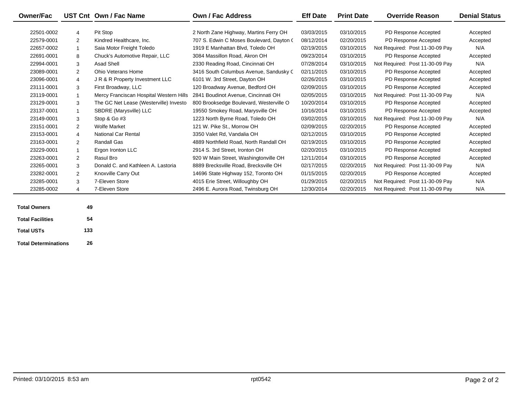| <b>Owner/Fac</b> |                | UST Cnt Own / Fac Name                  | Own / Fac Address                        | <b>Eff Date</b> | <b>Print Date</b> | <b>Override Reason</b>          | <b>Denial Status</b> |
|------------------|----------------|-----------------------------------------|------------------------------------------|-----------------|-------------------|---------------------------------|----------------------|
|                  |                |                                         |                                          |                 |                   |                                 |                      |
| 22501-0002       | $\overline{4}$ | Pit Stop                                | 2 North Zane Highway, Martins Ferry OH   | 03/03/2015      | 03/10/2015        | PD Response Accepted            | Accepted             |
| 22579-0001       | 2              | Kindred Healthcare, Inc.                | 707 S. Edwin C Moses Boulevard, Dayton ( | 08/12/2014      | 02/20/2015        | PD Response Accepted            | Accepted             |
| 22657-0002       | $\mathbf{1}$   | Saia Motor Freight Toledo               | 1919 E Manhattan Blvd. Toledo OH         | 02/19/2015      | 03/10/2015        | Not Required: Post 11-30-09 Pay | N/A                  |
| 22691-0001       | 8              | Chuck's Automotive Repair, LLC          | 3084 Massillon Road, Akron OH            | 09/23/2014      | 03/10/2015        | PD Response Accepted            | Accepted             |
| 22994-0001       | 3              | <b>Asad Shell</b>                       | 2330 Reading Road, Cincinnati OH         | 07/28/2014      | 03/10/2015        | Not Required: Post 11-30-09 Pay | N/A                  |
| 23089-0001       | 2              | Ohio Veterans Home                      | 3416 South Columbus Avenue, Sandusky C   | 02/11/2015      | 03/10/2015        | PD Response Accepted            | Accepted             |
| 23096-0001       | 4              | J R & R Property Investment LLC         | 6101 W. 3rd Street, Dayton OH            | 02/26/2015      | 03/10/2015        | PD Response Accepted            | Accepted             |
| 23111-0001       | 3              | First Broadway, LLC                     | 120 Broadway Avenue, Bedford OH          | 02/09/2015      | 03/10/2015        | PD Response Accepted            | Accepted             |
| 23119-0001       | $\mathbf{1}$   | Mercy Franciscan Hospital Western Hills | 2841 Boudinot Avenue, Cincinnati OH      | 02/05/2015      | 03/10/2015        | Not Required: Post 11-30-09 Pay | N/A                  |
| 23129-0001       | 3              | The GC Net Lease (Westerville) Investo  | 800 Brooksedge Boulevard, Westerville O  | 10/20/2014      | 03/10/2015        | PD Response Accepted            | Accepted             |
| 23137-0001       | $\mathbf{1}$   | SBDRE (Marysville) LLC                  | 19550 Smokey Road, Marysville OH         | 10/16/2014      | 03/10/2015        | PD Response Accepted            | Accepted             |
| 23149-0001       | 3              | Stop $& Go #3$                          | 1223 North Byrne Road, Toledo OH         | 03/02/2015      | 03/10/2015        | Not Required: Post 11-30-09 Pay | N/A                  |
| 23151-0001       | 2              | Wolfe Market                            | 121 W. Pike St., Morrow OH               | 02/09/2015      | 02/20/2015        | PD Response Accepted            | Accepted             |
| 23153-0001       | $\overline{4}$ | National Car Rental                     | 3350 Valet Rd. Vandalia OH               | 02/12/2015      | 03/10/2015        | PD Response Accepted            | Accepted             |
| 23163-0001       | 2              | <b>Randall Gas</b>                      | 4889 Northfield Road, North Randall OH   | 02/19/2015      | 03/10/2015        | PD Response Accepted            | Accepted             |
| 23229-0001       | $\mathbf{1}$   | Ergon Ironton LLC                       | 2914 S. 3rd Street, Ironton OH           | 02/20/2015      | 03/10/2015        | PD Response Accepted            | Accepted             |
| 23263-0001       | $\overline{2}$ | Rasul Bro                               | 920 W Main Street, Washingtonville OH    | 12/11/2014      | 03/10/2015        | PD Response Accepted            | Accepted             |
| 23265-0001       | 3              | Donald C. and Kathleen A. Lastoria      | 8889 Brecksville Road, Brecksville OH    | 02/17/2015      | 02/20/2015        | Not Required: Post 11-30-09 Pay | N/A                  |
| 23282-0001       | 2              | Knoxville Carry Out                     | 14696 State Highway 152, Toronto OH      | 01/15/2015      | 02/20/2015        | PD Response Accepted            | Accepted             |
| 23285-0001       | 3              | 7-Eleven Store                          | 4015 Erie Street, Willoughby OH          | 01/29/2015      | 02/20/2015        | Not Required: Post 11-30-09 Pay | N/A                  |
| 23285-0002       | 4              | 7-Eleven Store                          | 2496 E. Aurora Road, Twinsburg OH        | 12/30/2014      | 02/20/2015        | Not Required: Post 11-30-09 Pay | N/A                  |

| <b>Total Owners</b>         | 49  |
|-----------------------------|-----|
| <b>Total Facilities</b>     | 54  |
| <b>Total USTs</b>           | 133 |
| <b>Total Determinations</b> | 26  |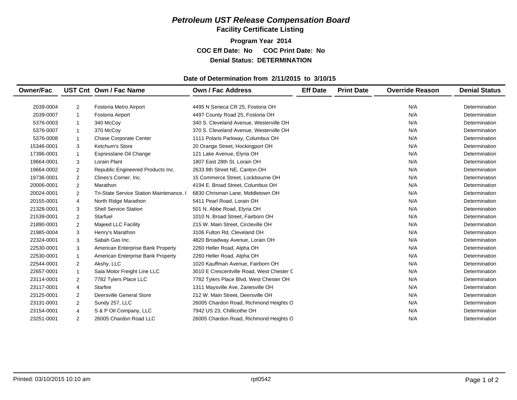## *Petroleum UST Release Compensation Board*  **Facility Certificate Listing**

**Program Year 2014 COC Eff Date: No COC Print Date: No Denial Status: DETERMINATION**

#### **Date of Determination from 2/11/2015 to 3/10/15**

| <b>Owner/Fac</b> |                | UST Cnt Own / Fac Name                   | Own / Fac Address                         | <b>Eff Date</b> | <b>Print Date</b> | <b>Override Reason</b> | <b>Denial Status</b> |
|------------------|----------------|------------------------------------------|-------------------------------------------|-----------------|-------------------|------------------------|----------------------|
|                  |                |                                          |                                           |                 |                   |                        |                      |
| 2039-0004        | 2              | Fostoria Metro Airport                   | 4495 N Seneca CR 25, Fostoria OH          |                 |                   | N/A                    | Determination        |
| 2039-0007        | $\mathbf{1}$   | Fostoria Airport                         | 4497 County Road 25, Fostoria OH          |                 |                   | N/A                    | Determination        |
| 5376-0003        |                | 340 McCoy                                | 340 S. Cleveland Avenue, Westerville OH   |                 |                   | N/A                    | Determination        |
| 5376-0007        | $\mathbf{1}$   | 370 McCoy                                | 370 S. Cleveland Avenue, Westerville OH   |                 |                   | N/A                    | Determination        |
| 5376-0008        | $\mathbf{1}$   | <b>Chase Corporate Center</b>            | 1111 Polaris Parkway, Columbus OH         |                 |                   | N/A                    | Determination        |
| 15346-0001       | 3              | Ketchum's Store                          | 20 Orange Street, Hockingport OH          |                 |                   | N/A                    | Determination        |
| 17396-0001       | $\mathbf{1}$   | Expresslane Oil Change                   | 121 Lake Avenue, Elyria OH                |                 |                   | N/A                    | Determination        |
| 19664-0001       | 3              | <b>Lorain Plant</b>                      | 1807 East 28th St, Lorain OH              |                 |                   | N/A                    | Determination        |
| 19664-0002       | 2              | Republic Engineered Products Inc.        | 2633 8th Street NE, Canton OH             |                 |                   | N/A                    | Determination        |
| 19736-0001       | 2              | Clines's Corner, Inc.                    | 15 Commerce Street, Lockbourne OH         |                 |                   | N/A                    | Determination        |
| 20006-0001       | 2              | Marathon                                 | 4194 E. Broad Street, Columbus OH         |                 |                   | N/A                    | Determination        |
| 20024-0001       | 2              | Tri-State Service Station Maintenance, I | 6830 Chrisman Lane, Middletown OH         |                 |                   | N/A                    | Determination        |
| 20155-0001       | $\overline{4}$ | North Ridge Marathon                     | 5411 Pearl Road, Lorain OH                |                 |                   | N/A                    | Determination        |
| 21328-0001       | 3              | <b>Shell Service Station</b>             | 501 N. Abbe Road, Elyria OH               |                 |                   | N/A                    | Determination        |
| 21539-0001       | 2              | Starfuel                                 | 1010 N. Broad Street, Fairborn OH         |                 |                   | N/A                    | Determination        |
| 21890-0001       | 2              | Majeed LLC Facility                      | 215 W. Main Street, Circleville OH        |                 |                   | N/A                    | Determination        |
| 21985-0004       | 3              | Henry's Marathon                         | 3106 Fulton Rd, Cleveland OH              |                 |                   | N/A                    | Determination        |
| 22324-0001       | 3              | Sabah Gas Inc.                           | 4820 Broadway Avenue, Lorain OH           |                 |                   | N/A                    | Determination        |
| 22530-0001       | 3              | American Enterprise Bank Property        | 2260 Heller Road, Alpha OH                |                 |                   | N/A                    | Determination        |
| 22530-0001       | $\mathbf{1}$   | American Enterprise Bank Property        | 2260 Heller Road, Alpha OH                |                 |                   | N/A                    | Determination        |
| 22544-0001       | 2              | Akshy, LLC                               | 1020 Kauffman Avenue, Fairborn OH         |                 |                   | N/A                    | Determination        |
| 22657-0001       | $\mathbf{1}$   | Saia Motor Freight Line LLC              | 3010 E Crescentville Road, West Chester C |                 |                   | N/A                    | Determination        |
| 23114-0001       | 2              | 7782 Tylers Place LLC                    | 7782 Tylers Place Blvd, West Chester OH   |                 |                   | N/A                    | Determination        |
| 23117-0001       | $\overline{4}$ | <b>Starfire</b>                          | 1311 Maysville Ave, Zanesville OH         |                 |                   | N/A                    | Determination        |
| 23125-0001       | 2              | Deersville General Store                 | 212 W. Main Street, Deersville OH         |                 |                   | N/A                    | Determination        |
| 23131-0001       | 2              | Sundy 257, LLC                           | 26005 Chardon Road, Richmond Heights O    |                 |                   | N/A                    | Determination        |
| 23154-0001       | 4              | S & P Oil Company, LLC                   | 7942 US 23, Chillicothe OH                |                 |                   | N/A                    | Determination        |
| 23251-0001       | 2              | 26005 Chardon Road LLC                   | 26005 Chardon Road, Richmond Heights O    |                 |                   | N/A                    | Determination        |